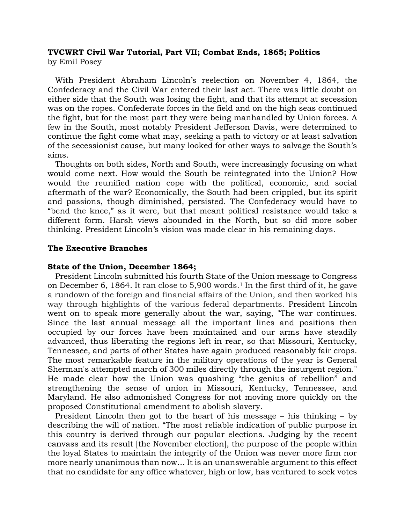# **TVCWRT Civil War Tutorial, Part VII; Combat Ends, 1865; Politics** by Emil Posey

 With President Abraham Lincoln's reelection on November 4, 1864, the Confederacy and the Civil War entered their last act. There was little doubt on either side that the South was losing the fight, and that its attempt at secession was on the ropes. Confederate forces in the field and on the high seas continued the fight, but for the most part they were being manhandled by Union forces. A few in the South, most notably President Jefferson Davis, were determined to continue the fight come what may, seeking a path to victory or at least salvation of the secessionist cause, but many looked for other ways to salvage the South's aims.

 Thoughts on both sides, North and South, were increasingly focusing on what would come next. How would the South be reintegrated into the Union? How would the reunified nation cope with the political, economic, and social aftermath of the war? Economically, the South had been crippled, but its spirit and passions, though diminished, persisted. The Confederacy would have to "bend the knee," as it were, but that meant political resistance would take a different form. Harsh views abounded in the North, but so did more sober thinking. President Lincoln's vision was made clear in his remaining days.

# **The Executive Branches**

## **State of the Union, December 1864;**

 President Lincoln submitted his fourth State of the Union message to Congress on December 6, 1864. It ran close to 5,900 words. <sup>1</sup> In the first third of it, he gave a rundown of the foreign and financial affairs of the Union, and then worked his way through highlights of the various federal departments. President Lincoln went on to speak more generally about the war, saying, "The war continues. Since the last annual message all the important lines and positions then occupied by our forces have been maintained and our arms have steadily advanced, thus liberating the regions left in rear, so that Missouri, Kentucky, Tennessee, and parts of other States have again produced reasonably fair crops. The most remarkable feature in the military operations of the year is General Sherman's attempted march of 300 miles directly through the insurgent region." He made clear how the Union was quashing "the genius of rebellion" and strengthening the sense of union in Missouri, Kentucky, Tennessee, and Maryland. He also admonished Congress for not moving more quickly on the proposed Constitutional amendment to abolish slavery.

 President Lincoln then got to the heart of his message – his thinking – by describing the will of nation. "The most reliable indication of public purpose in this country is derived through our popular elections. Judging by the recent canvass and its result [the November election], the purpose of the people within the loyal States to maintain the integrity of the Union was never more firm nor more nearly unanimous than now… It is an unanswerable argument to this effect that no candidate for any office whatever, high or low, has ventured to seek votes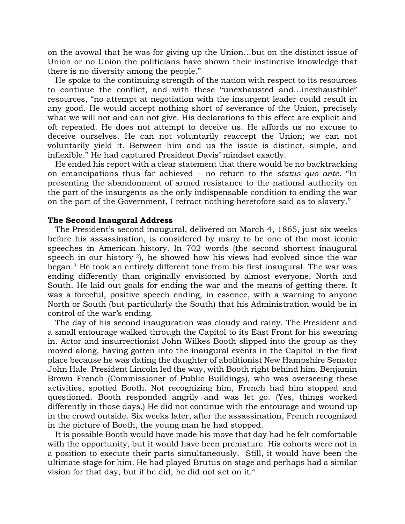on the avowal that he was for giving up the Union…but on the distinct issue of Union or no Union the politicians have shown their instinctive knowledge that there is no diversity among the people."

 He spoke to the continuing strength of the nation with respect to its resources to continue the conflict, and with these "unexhausted and…inexhaustible" resources, "no attempt at negotiation with the insurgent leader could result in any good. He would accept nothing short of severance of the Union, precisely what we will not and can not give. His declarations to this effect are explicit and oft repeated. He does not attempt to deceive us. He affords us no excuse to deceive ourselves. He can not voluntarily reaccept the Union; we can not voluntarily yield it. Between him and us the issue is distinct, simple, and inflexible." He had captured President Davis' mindset exactly.

 He ended his report with a clear statement that there would be no backtracking on emancipations thus far achieved – no return to the *status quo ante*. "In presenting the abandonment of armed resistance to the national authority on the part of the insurgents as the only indispensable condition to ending the war on the part of the Government, I retract nothing heretofore said as to slavery."

# **The Second Inaugural Address**

 The President's second inaugural, delivered on March 4, 1865, just six weeks before his assassination, is considered by many to be one of the most iconic speeches in American history. In 702 words (the second shortest inaugural speech in our history <sup>2</sup>), he showed how his views had evolved since the war began.<sup>3</sup> He took an entirely different tone from his first inaugural. The war was ending differently than originally envisioned by almost everyone, North and South. He laid out goals for ending the war and the means of getting there. It was a forceful, positive speech ending, in essence, with a warning to anyone North or South (but particularly the South) that his Administration would be in control of the war's ending.

 The day of his second inauguration was cloudy and rainy. The President and a small entourage walked through the Capitol to its East Front for his swearing in. Actor and insurrectionist John Wilkes Booth slipped into the group as they moved along, having gotten into the inaugural events in the Capitol in the first place because he was dating the daughter of abolitionist New Hampshire Senator John Hale. President Lincoln led the way, with Booth right behind him. Benjamin Brown French (Commissioner of Public Buildings), who was overseeing these activities, spotted Booth. Not recognizing him, French had him stopped and questioned. Booth responded angrily and was let go. (Yes, things worked differently in those days.) He did not continue with the entourage and wound up in the crowd outside. Six weeks later, after the assassination, French recognized in the picture of Booth, the young man he had stopped.

 It is possible Booth would have made his move that day had he felt comfortable with the opportunity, but it would have been premature. His cohorts were not in a position to execute their parts simultaneously. Still, it would have been the ultimate stage for him. He had played Brutus on stage and perhaps had a similar vision for that day, but if he did, he did not act on it. 4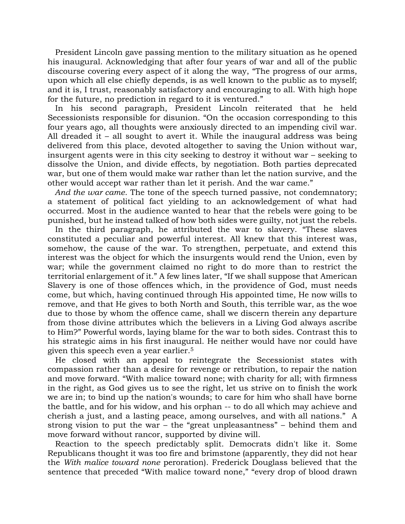President Lincoln gave passing mention to the military situation as he opened his inaugural. Acknowledging that after four years of war and all of the public discourse covering every aspect of it along the way, "The progress of our arms, upon which all else chiefly depends, is as well known to the public as to myself; and it is, I trust, reasonably satisfactory and encouraging to all. With high hope for the future, no prediction in regard to it is ventured."

 In his second paragraph, President Lincoln reiterated that he held Secessionists responsible for disunion. "On the occasion corresponding to this four years ago, all thoughts were anxiously directed to an impending civil war. All dreaded it – all sought to avert it. While the inaugural address was being delivered from this place, devoted altogether to saving the Union without war, insurgent agents were in this city seeking to destroy it without war – seeking to dissolve the Union, and divide effects, by negotiation. Both parties deprecated war, but one of them would make war rather than let the nation survive, and the other would accept war rather than let it perish. And the war came."

 *And the war came*. The tone of the speech turned passive, not condemnatory; a statement of political fact yielding to an acknowledgement of what had occurred. Most in the audience wanted to hear that the rebels were going to be punished, but he instead talked of how both sides were guilty, not just the rebels.

 In the third paragraph, he attributed the war to slavery. "These slaves constituted a peculiar and powerful interest. All knew that this interest was, somehow, the cause of the war. To strengthen, perpetuate, and extend this interest was the object for which the insurgents would rend the Union, even by war; while the government claimed no right to do more than to restrict the territorial enlargement of it." A few lines later, "If we shall suppose that American Slavery is one of those offences which, in the providence of God, must needs come, but which, having continued through His appointed time, He now wills to remove, and that He gives to both North and South, this terrible war, as the woe due to those by whom the offence came, shall we discern therein any departure from those divine attributes which the believers in a Living God always ascribe to Him?" Powerful words, laying blame for the war to both sides. Contrast this to his strategic aims in his first inaugural. He neither would have nor could have given this speech even a year earlier.<sup>5</sup>

 He closed with an appeal to reintegrate the Secessionist states with compassion rather than a desire for revenge or retribution, to repair the nation and move forward. "With malice toward none; with charity for all; with firmness in the right, as God gives us to see the right, let us strive on to finish the work we are in; to bind up the nation's wounds; to care for him who shall have borne the battle, and for his widow, and his orphan -- to do all which may achieve and cherish a just, and a lasting peace, among ourselves, and with all nations." A strong vision to put the war – the "great unpleasantness" – behind them and move forward without rancor, supported by divine will.

 Reaction to the speech predictably split. Democrats didn't like it. Some Republicans thought it was too fire and brimstone (apparently, they did not hear the *With malice toward none* peroration). Frederick Douglass believed that the sentence that preceded "With malice toward none," "every drop of blood drawn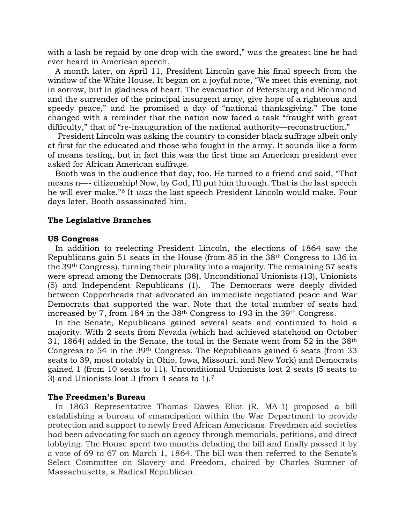with a lash be repaid by one drop with the sword," was the greatest line he had ever heard in American speech.

 A month later, on April 11, President Lincoln gave his final speech from the window of the White House. It began on a joyful note, "We meet this evening, not in sorrow, but in gladness of heart. The evacuation of Petersburg and Richmond and the surrender of the principal insurgent army, give hope of a righteous and speedy peace," and he promised a day of "national thanksgiving." The tone changed with a reminder that the nation now faced a task "fraught with great difficulty," that of "re-inauguration of the national authority—reconstruction."

 President Lincoln was asking the country to consider black suffrage albeit only at first for the educated and those who fought in the army. It sounds like a form of means testing, but in fact this was the first time an American president ever asked for African American suffrage.

 Booth was in the audience that day, too. He turned to a friend and said, "That means n—- citizenship! Now, by God, I'll put him through. That is the last speech he will ever make." <sup>6</sup> It *was* the last speech President Lincoln would make. Four days later, Booth assassinated him.

# **The Legislative Branches**

## **US Congress**

 In addition to reelecting President Lincoln, the elections of 1864 saw the Republicans gain 51 seats in the House (from 85 in the 38th Congress to 136 in the 39th Congress), turning their plurality into a majority. The remaining 57 seats were spread among the Democrats (38), Unconditional Unionists (13), Unionists (5) and Independent Republicans (1). The Democrats were deeply divided between Copperheads that advocated an immediate negotiated peace and War Democrats that supported the war. Note that the total number of seats had increased by 7, from 184 in the 38<sup>th</sup> Congress to 193 in the 39<sup>th</sup> Congress.

 In the Senate, Republicans gained several seats and continued to hold a majority. With 2 seats from Nevada (which had achieved statehood on October 31, 1864) added in the Senate, the total in the Senate went from 52 in the 38th Congress to 54 in the 39th Congress. The Republicans gained 6 seats (from 33 seats to 39, most notably in Ohio, Iowa, Missouri, and New York) and Democrats gained 1 (from 10 seats to 11). Unconditional Unionists lost 2 seats (5 seats to 3) and Unionists lost 3 (from 4 seats to 1).<sup>7</sup>

## **The Freedmen's Bureau**

 In 1863 Representative Thomas Dawes Eliot (R, MA-1) proposed a bill establishing a bureau of emancipation within the War Department to provide protection and support to newly freed African Americans. Freedmen aid societies had been advocating for such an agency through memorials, petitions, and direct lobbying. The House spent two months debating the bill and finally passed it by a vote of 69 to 67 on March 1, 1864. The bill was then referred to the Senate's Select Committee on Slavery and Freedom, chaired by Charles Sumner of Massachusetts, a Radical Republican.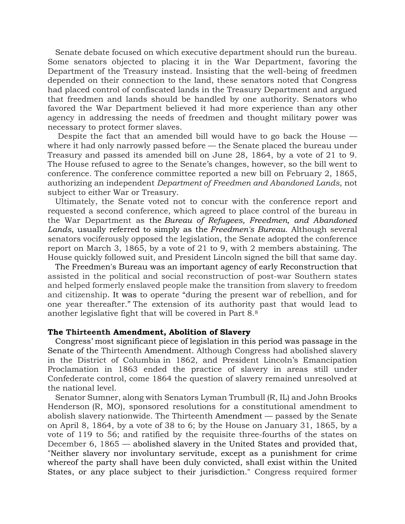Senate debate focused on which executive department should run the bureau. Some senators objected to placing it in the War Department, favoring the Department of the Treasury instead. Insisting that the well-being of freedmen depended on their connection to the land, these senators noted that Congress had placed control of confiscated lands in the Treasury Department and argued that freedmen and lands should be handled by one authority. Senators who favored the War Department believed it had more experience than any other agency in addressing the needs of freedmen and thought military power was necessary to protect former slaves.

Despite the fact that an amended bill would have to go back the House  $$ where it had only narrowly passed before — the Senate placed the bureau under Treasury and passed its amended bill on June 28, 1864, by a vote of 21 to 9. The House refused to agree to the Senate's changes, however, so the bill went to conference. The conference committee reported a new bill on February 2, 1865, authorizing an independent *Department of Freedmen and Abandoned Lands*, not subject to either War or Treasury.

 Ultimately, the Senate voted not to concur with the conference report and requested a second conference, which agreed to place control of the bureau in the War Department as the *Bureau of Refugees, Freedmen, and Abandoned Lands*, usually referred to simply as the *Freedmen's Bureau*. Although several senators vociferously opposed the legislation, the Senate adopted the conference report on March 3, 1865, by a vote of 21 to 9, with 2 members abstaining. The House quickly followed suit, and President Lincoln signed the bill that same day.

 The Freedmen's Bureau was an important agency of early Reconstruction that assisted in the political and social reconstruction of post-war Southern states and helped formerly enslaved people make the transition from slavery to freedom and citizenship. It was to operate "during the present war of rebellion, and for one year thereafter." The extension of its authority past that would lead to another legislative fight that will be covered in Part 8.<sup>8</sup>

## **The Thirteenth Amendment, Abolition of Slavery**

 Congress' most significant piece of legislation in this period was passage in the Senate of the Thirteenth Amendment. Although Congress had abolished slavery in the District of Columbia in 1862, and President Lincoln's Emancipation Proclamation in 1863 ended the practice of slavery in areas still under Confederate control, come 1864 the question of slavery remained unresolved at the national level.

 Senator Sumner, along with Senators Lyman Trumbull (R, IL) and John Brooks Henderson (R, MO), sponsored resolutions for a constitutional amendment to abolish slavery nationwide. The Thirteenth Amendment — passed by the Senate on April 8, 1864, by a vote of 38 to 6; by the House on January 31, 1865, by a vote of 119 to 56; and ratified by the requisite three-fourths of the states on December 6, 1865 — abolished slavery in the United States and provided that, "Neither slavery nor involuntary servitude, except as a punishment for crime whereof the party shall have been duly convicted, shall exist within the United States, or any place subject to their jurisdiction." Congress required former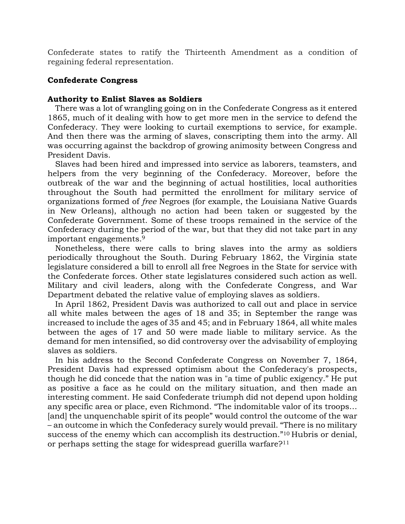Confederate states to ratify the Thirteenth Amendment as a condition of regaining federal representation.

# **Confederate Congress**

# **Authority to Enlist Slaves as Soldiers**

 There was a lot of wrangling going on in the Confederate Congress as it entered 1865, much of it dealing with how to get more men in the service to defend the Confederacy. They were looking to curtail exemptions to service, for example. And then there was the arming of slaves, conscripting them into the army. All was occurring against the backdrop of growing animosity between Congress and President Davis.

 Slaves had been hired and impressed into service as laborers, teamsters, and helpers from the very beginning of the Confederacy. Moreover, before the outbreak of the war and the beginning of actual hostilities, local authorities throughout the South had permitted the enrollment for military service of organizations formed of *free* Negroes (for example, the Louisiana Native Guards in New Orleans), although no action had been taken or suggested by the Confederate Government. Some of these troops remained in the service of the Confederacy during the period of the war, but that they did not take part in any important engagements.<sup>9</sup>

 Nonetheless, there were calls to bring slaves into the army as soldiers periodically throughout the South. During February 1862, the Virginia state legislature considered a bill to enroll all free Negroes in the State for service with the Confederate forces. Other state legislatures considered such action as well. Military and civil leaders, along with the Confederate Congress, and War Department debated the relative value of employing slaves as soldiers.

 In April 1862, President Davis was authorized to call out and place in service all white males between the ages of 18 and 35; in September the range was increased to include the ages of 35 and 45; and in February 1864, all white males between the ages of 17 and 50 were made liable to military service. As the demand for men intensified, so did controversy over the advisability of employing slaves as soldiers.

 In his address to the Second Confederate Congress on November 7, 1864, President Davis had expressed optimism about the Confederacy's prospects, though he did concede that the nation was in "a time of public exigency." He put as positive a face as he could on the military situation, and then made an interesting comment. He said Confederate triumph did not depend upon holding any specific area or place, even Richmond. "The indomitable valor of its troops… [and] the unquenchable spirit of its people" would control the outcome of the war – an outcome in which the Confederacy surely would prevail. "There is no military success of the enemy which can accomplish its destruction."<sup>10</sup> Hubris or denial, or perhaps setting the stage for widespread guerilla warfare?11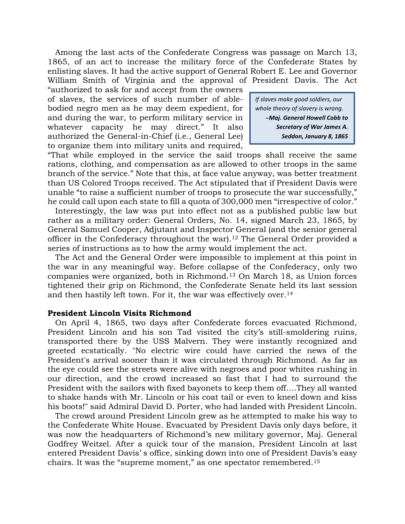Among the last acts of the Confederate Congress was passage on March 13, 1865, of an act to increase the military force of the Confederate States by enlisting slaves. It had the active support of General Robert E. Lee and Governor William Smith of Virginia and the approval of President Davis. The Act

"authorized to ask for and accept from the owners of slaves, the services of such number of ablebodied negro men as he may deem expedient, for and during the war, to perform military service in whatever capacity he may direct." It also authorized the General-in-Chief (i.e., General Lee) to organize them into military units and required,

*If slaves make good soldiers, our whole theory of slavery is wrong. -̶Maj. General Howell Cobb to Secretary of War James A. Seddon, January 8, 1865*

"That while employed in the service the said troops shall receive the same rations, clothing, and compensation as are allowed to other troops in the same branch of the service." Note that this, at face value anyway, was better treatment than US Colored Troops received. The Act stipulated that if President Davis were unable "to raise a sufficient number of troops to prosecute the war successfully," he could call upon each state to fill a quota of 300,000 men "irrespective of color."

 Interestingly, the law was put into effect not as a published public law but rather as a military order: General Orders, No. 14, signed March 23, 1865, by General Samuel Cooper, Adjutant and Inspector General (and the senior general officer in the Confederacy throughout the war).<sup>12</sup> The General Order provided a series of instructions as to how the army would implement the act.

 The Act and the General Order were impossible to implement at this point in the war in any meaningful way. Before collapse of the Confederacy, only two companies were organized, both in Richmond.<sup>13</sup> On March 18, as Union forces tightened their grip on Richmond, the Confederate Senate held its last session and then hastily left town. For it, the war was effectively over.<sup>14</sup>

# **President Lincoln Visits Richmond**

 On April 4, 1865, two days after Confederate forces evacuated Richmond, President Lincoln and his son Tad visited the city's still-smoldering ruins, transported there by the USS Malvern. They were instantly recognized and greeted ecstatically. "No electric wire could have carried the news of the President's arrival sooner than it was circulated through Richmond. As far as the eye could see the streets were alive with negroes and poor whites rushing in our direction, and the crowd increased so fast that I had to surround the President with the sailors with fixed bayonets to keep them off….They all wanted to shake hands with Mr. Lincoln or his coat tail or even to kneel down and kiss his boots!" said Admiral David D. Porter, who had landed with President Lincoln.

 The crowd around President Lincoln grew as he attempted to make his way to the Confederate White House. Evacuated by President Davis only days before, it was now the headquarters of Richmond's new military governor, Maj. General Godfrey Weitzel. After a quick tour of the mansion, President Lincoln at last entered President Davis' s office, sinking down into one of President Davis's easy chairs. It was the "supreme moment," as one spectator remembered.<sup>15</sup>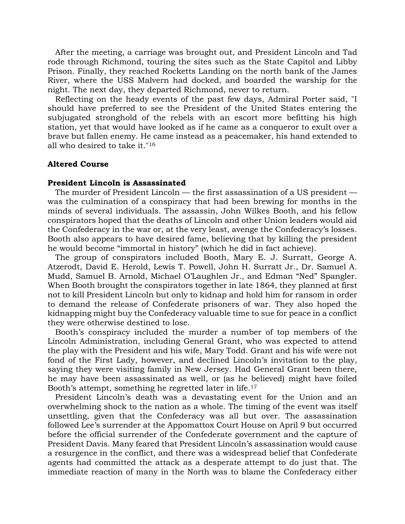After the meeting, a carriage was brought out, and President Lincoln and Tad rode through Richmond, touring the sites such as the State Capitol and Libby Prison. Finally, they reached Rocketts Landing on the north bank of the James River, where the USS Malvern had docked, and boarded the warship for the night. The next day, they departed Richmond, never to return.

 Reflecting on the heady events of the past few days, Admiral Porter said, "I should have preferred to see the President of the United States entering the subjugated stronghold of the rebels with an escort more befitting his high station, yet that would have looked as if he came as a conqueror to exult over a brave but fallen enemy. He came instead as a peacemaker, his hand extended to all who desired to take it."<sup>16</sup>

### **Altered Course**

#### **President Lincoln is Assassinated**

 The murder of President Lincoln — the first assassination of a US president was the culmination of a conspiracy that had been brewing for months in the minds of several individuals. The assassin, John Wilkes Booth, and his fellow conspirators hoped that the deaths of Lincoln and other Union leaders would aid the Confederacy in the war or, at the very least, avenge the Confederacy's losses. Booth also appears to have desired fame, believing that by killing the president he would become "immortal in history" (which he did in fact achieve).

 The group of conspirators included Booth, Mary E. J. Surratt, George A. Atzerodt, David E. Herold, Lewis T. Powell, John H. Surratt Jr., Dr. Samuel A. Mudd, Samuel B. Arnold, Michael O'Laughlen Jr., and Edman "Ned" Spangler. When Booth brought the conspirators together in late 1864, they planned at first not to kill President Lincoln but only to kidnap and hold him for ransom in order to demand the release of Confederate prisoners of war. They also hoped the kidnapping might buy the Confederacy valuable time to sue for peace in a conflict they were otherwise destined to lose.

 Booth's conspiracy included the murder a number of top members of the Lincoln Administration, including General Grant, who was expected to attend the play with the President and his wife, Mary Todd. Grant and his wife were not fond of the First Lady, however, and declined Lincoln's invitation to the play, saying they were visiting family in New Jersey. Had General Grant been there, he may have been assassinated as well, or (as he believed) might have foiled Booth's attempt, something he regretted later in life.<sup>17</sup>

 President Lincoln's death was a devastating event for the Union and an overwhelming shock to the nation as a whole. The timing of the event was itself unsettling, given that the Confederacy was all but over. The assassination followed Lee's surrender at the Appomattox Court House on April 9 but occurred before the official surrender of the Confederate government and the capture of President Davis. Many feared that President Lincoln's assassination would cause a resurgence in the conflict, and there was a widespread belief that Confederate agents had committed the attack as a desperate attempt to do just that. The immediate reaction of many in the North was to blame the Confederacy either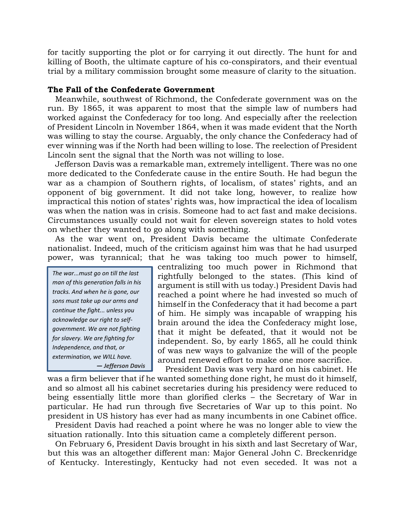for tacitly supporting the plot or for carrying it out directly. The hunt for and killing of Booth, the ultimate capture of his co-conspirators, and their eventual trial by a military commission brought some measure of clarity to the situation.

### **The Fall of the Confederate Government**

 Meanwhile, southwest of Richmond, the Confederate government was on the run. By 1865, it was apparent to most that the simple law of numbers had worked against the Confederacy for too long. And especially after the reelection of President Lincoln in November 1864, when it was made evident that the North was willing to stay the course. Arguably, the only chance the Confederacy had of ever winning was if the North had been willing to lose. The reelection of President Lincoln sent the signal that the North was not willing to lose.

 Jefferson Davis was a remarkable man, extremely intelligent. There was no one more dedicated to the Confederate cause in the entire South. He had begun the war as a champion of Southern rights, of localism, of states' rights, and an opponent of big government. It did not take long, however, to realize how impractical this notion of states' rights was, how impractical the idea of localism was when the nation was in crisis. Someone had to act fast and make decisions. Circumstances usually could not wait for eleven sovereign states to hold votes on whether they wanted to go along with something.

 As the war went on, President Davis became the ultimate Confederate nationalist. Indeed, much of the criticism against him was that he had usurped power, was tyrannical; that he was taking too much power to himself,

*The war...must go on till the last man of this generation falls in his tracks. And when he is gone, our sons must take up our arms and continue the fight... unless you acknowledge our right to selfgovernment. We are not fighting for slavery. We are fighting for Independence, and that, or extermination, we WILL have. ― Jefferson Davis* centralizing too much power in Richmond that rightfully belonged to the states. (This kind of argument is still with us today.) President Davis had reached a point where he had invested so much of himself in the Confederacy that it had become a part of him. He simply was incapable of wrapping his brain around the idea the Confederacy might lose, that it might be defeated, that it would not be independent. So, by early 1865, all he could think of was new ways to galvanize the will of the people around renewed effort to make one more sacrifice. President Davis was very hard on his cabinet. He

was a firm believer that if he wanted something done right, he must do it himself, and so almost all his cabinet secretaries during his presidency were reduced to being essentially little more than glorified clerks – the Secretary of War in particular. He had run through five Secretaries of War up to this point. No president in US history has ever had as many incumbents in one Cabinet office.

 President Davis had reached a point where he was no longer able to view the situation rationally. Into this situation came a completely different person.

 On February 6, President Davis brought in his sixth and last Secretary of War, but this was an altogether different man: Major General John C. Breckenridge of Kentucky. Interestingly, Kentucky had not even seceded. It was not a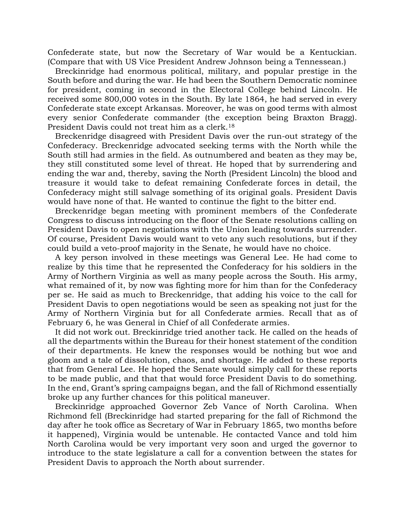Confederate state, but now the Secretary of War would be a Kentuckian. (Compare that with US Vice President Andrew Johnson being a Tennessean.)

 Breckinridge had enormous political, military, and popular prestige in the South before and during the war. He had been the Southern Democratic nominee for president, coming in second in the Electoral College behind Lincoln. He received some 800,000 votes in the South. By late 1864, he had served in every Confederate state except Arkansas. Moreover, he was on good terms with almost every senior Confederate commander (the exception being Braxton Bragg). President Davis could not treat him as a clerk.<sup>18</sup>

 Breckenridge disagreed with President Davis over the run-out strategy of the Confederacy. Breckenridge advocated seeking terms with the North while the South still had armies in the field. As outnumbered and beaten as they may be, they still constituted some level of threat. He hoped that by surrendering and ending the war and, thereby, saving the North (President Lincoln) the blood and treasure it would take to defeat remaining Confederate forces in detail, the Confederacy might still salvage something of its original goals. President Davis would have none of that. He wanted to continue the fight to the bitter end.

 Breckenridge began meeting with prominent members of the Confederate Congress to discuss introducing on the floor of the Senate resolutions calling on President Davis to open negotiations with the Union leading towards surrender. Of course, President Davis would want to veto any such resolutions, but if they could build a veto-proof majority in the Senate, he would have no choice.

 A key person involved in these meetings was General Lee. He had come to realize by this time that he represented the Confederacy for his soldiers in the Army of Northern Virginia as well as many people across the South. His army, what remained of it, by now was fighting more for him than for the Confederacy per se. He said as much to Breckenridge, that adding his voice to the call for President Davis to open negotiations would be seen as speaking not just for the Army of Northern Virginia but for all Confederate armies. Recall that as of February 6, he was General in Chief of all Confederate armies.

 It did not work out. Breckinridge tried another tack. He called on the heads of all the departments within the Bureau for their honest statement of the condition of their departments. He knew the responses would be nothing but woe and gloom and a tale of dissolution, chaos, and shortage. He added to these reports that from General Lee. He hoped the Senate would simply call for these reports to be made public, and that that would force President Davis to do something. In the end, Grant's spring campaigns began, and the fall of Richmond essentially broke up any further chances for this political maneuver.

 Breckinridge approached Governor Zeb Vance of North Carolina. When Richmond fell (Breckinridge had started preparing for the fall of Richmond the day after he took office as Secretary of War in February 1865, two months before it happened), Virginia would be untenable. He contacted Vance and told him North Carolina would be very important very soon and urged the governor to introduce to the state legislature a call for a convention between the states for President Davis to approach the North about surrender.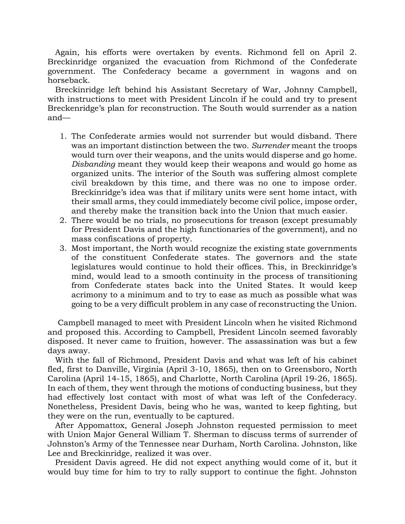Again, his efforts were overtaken by events. Richmond fell on April 2. Breckinridge organized the evacuation from Richmond of the Confederate government. The Confederacy became a government in wagons and on horseback.

 Breckinridge left behind his Assistant Secretary of War, Johnny Campbell, with instructions to meet with President Lincoln if he could and try to present Breckenridge's plan for reconstruction. The South would surrender as a nation and—

- 1. The Confederate armies would not surrender but would disband. There was an important distinction between the two. *Surrender* meant the troops would turn over their weapons, and the units would disperse and go home. *Disbanding* meant they would keep their weapons and would go home as organized units. The interior of the South was suffering almost complete civil breakdown by this time, and there was no one to impose order. Breckinridge's idea was that if military units were sent home intact, with their small arms, they could immediately become civil police, impose order, and thereby make the transition back into the Union that much easier.
- 2. There would be no trials, no prosecutions for treason (except presumably for President Davis and the high functionaries of the government), and no mass confiscations of property.
- 3. Most important, the North would recognize the existing state governments of the constituent Confederate states. The governors and the state legislatures would continue to hold their offices. This, in Breckinridge's mind, would lead to a smooth continuity in the process of transitioning from Confederate states back into the United States. It would keep acrimony to a minimum and to try to ease as much as possible what was going to be a very difficult problem in any case of reconstructing the Union.

 Campbell managed to meet with President Lincoln when he visited Richmond and proposed this. According to Campbell, President Lincoln seemed favorably disposed. It never came to fruition, however. The assassination was but a few days away.

 With the fall of Richmond, President Davis and what was left of his cabinet fled, first to Danville, Virginia (April 3-10, 1865), then on to Greensboro, North Carolina (April 14-15, 1865), and Charlotte, North Carolina (April 19-26, 1865). In each of them, they went through the motions of conducting business, but they had effectively lost contact with most of what was left of the Confederacy. Nonetheless, President Davis, being who he was, wanted to keep fighting, but they were on the run, eventually to be captured.

 After Appomattox, General Joseph Johnston requested permission to meet with Union Major General William T. Sherman to discuss terms of surrender of Johnston's Army of the Tennessee near Durham, North Carolina. Johnston, like Lee and Breckinridge, realized it was over.

 President Davis agreed. He did not expect anything would come of it, but it would buy time for him to try to rally support to continue the fight. Johnston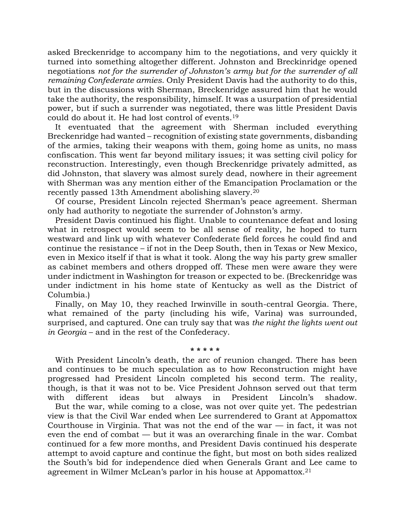asked Breckenridge to accompany him to the negotiations, and very quickly it turned into something altogether different. Johnston and Breckinridge opened negotiations *not for the surrender of Johnston's army but for the surrender of all remaining Confederate armies*. Only President Davis had the authority to do this, but in the discussions with Sherman, Breckenridge assured him that he would take the authority, the responsibility, himself. It was a usurpation of presidential power, but if such a surrender was negotiated, there was little President Davis could do about it. He had lost control of events.<sup>19</sup>

 It eventuated that the agreement with Sherman included everything Breckenridge had wanted – recognition of existing state governments, disbanding of the armies, taking their weapons with them, going home as units, no mass confiscation. This went far beyond military issues; it was setting civil policy for reconstruction. Interestingly, even though Breckenridge privately admitted, as did Johnston, that slavery was almost surely dead, nowhere in their agreement with Sherman was any mention either of the Emancipation Proclamation or the recently passed 13th Amendment abolishing slavery. 20

 Of course, President Lincoln rejected Sherman's peace agreement. Sherman only had authority to negotiate the surrender of Johnston's army.

 President Davis continued his flight. Unable to countenance defeat and losing what in retrospect would seem to be all sense of reality, he hoped to turn westward and link up with whatever Confederate field forces he could find and continue the resistance – if not in the Deep South, then in Texas or New Mexico, even in Mexico itself if that is what it took. Along the way his party grew smaller as cabinet members and others dropped off. These men were aware they were under indictment in Washington for treason or expected to be. (Breckenridge was under indictment in his home state of Kentucky as well as the District of Columbia.)

 Finally, on May 10, they reached Irwinville in south-central Georgia. There, what remained of the party (including his wife, Varina) was surrounded, surprised, and captured. One can truly say that was *the night the lights went out in Georgia* – and in the rest of the Confederacy.

### **\* \* \* \* \***

 With President Lincoln's death, the arc of reunion changed. There has been and continues to be much speculation as to how Reconstruction might have progressed had President Lincoln completed his second term. The reality, though, is that it was not to be. Vice President Johnson served out that term with different ideas but always in President Lincoln's shadow.

 But the war, while coming to a close, was not over quite yet. The pedestrian view is that the Civil War ended when Lee surrendered to Grant at Appomattox Courthouse in Virginia. That was not the end of the war  $-$  in fact, it was not even the end of combat — but it was an overarching finale in the war. Combat continued for a few more months, and President Davis continued his desperate attempt to avoid capture and continue the fight, but most on both sides realized the South's bid for independence died when Generals Grant and Lee came to agreement in Wilmer McLean's parlor in his house at Appomattox. 21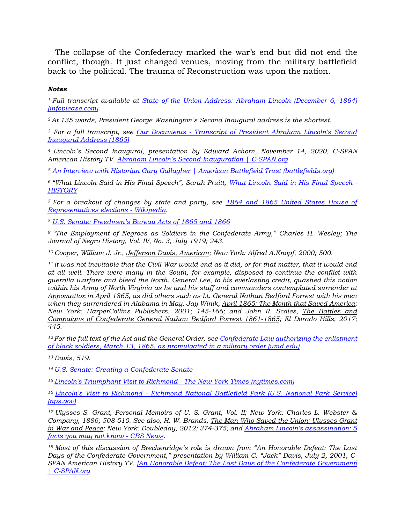The collapse of the Confederacy marked the war's end but did not end the conflict, though. It just changed venues, moving from the military battlefield back to the political. The trauma of Reconstruction was upon the nation.

## *Notes*

*<sup>1</sup>Full transcript available at [State of the Union Address: Abraham Lincoln \(December 6, 1864\)](https://www.infoplease.com/primary-sources/government/presidential-speeches/state-union-address-abraham-lincoln-december-6-1864)  [\(infoplease.com\).](https://www.infoplease.com/primary-sources/government/presidential-speeches/state-union-address-abraham-lincoln-december-6-1864)*

*<sup>2</sup>At 135 words, President George Washington's Second Inaugural address is the shortest.*

*<sup>3</sup> For a full transcript, see Our Documents - [Transcript of President Abraham Lincoln's Second](https://www.ourdocuments.gov/doc.php?flash=false&doc=38&page=transcript)  [Inaugural Address \(1865\)](https://www.ourdocuments.gov/doc.php?flash=false&doc=38&page=transcript)*

*<sup>4</sup>Lincoln's Second Inaugural, presentation by Edward Achorn, November 14, 2020, C-SPAN American History TV. [Abraham Lincoln's Second Inauguration | C-SPAN.org](https://www.c-span.org/video/?507718-3/abraham-lincolns-inauguration)*

*<sup>5</sup> [An Interview with Historian Gary Gallagher | American Battlefield Trust \(battlefields.org\)](https://www.battlefields.org/learn/articles/interview-historian-gary-gallagher)*

*<sup>6</sup>"What Lincoln Said in His Final Speech", Sarah Pruitt, [What Lincoln Said in His Final Speech -](https://www.history.com/news/what-lincoln-said-in-his-final-speech) [HISTORY](https://www.history.com/news/what-lincoln-said-in-his-final-speech)*

*<sup>7</sup>For a breakout of changes by state and party, see [1864 and 1865 United States House of](https://en.wikipedia.org/wiki/1864_and_1865_United_States_House_of_Representatives_elections)  [Representatives elections -](https://en.wikipedia.org/wiki/1864_and_1865_United_States_House_of_Representatives_elections) Wikipedia.*

*<sup>8</sup> [U.S. Senate: Freedmen's Bureau Acts of 1865 and 1866](https://www.senate.gov/artandhistory/history/common/generic/FreedmensBureau.htm)*

*<sup>9</sup>"The Employment of Negroes as Soldiers in the Confederate Army," Charles H. Wesley; The Journal of Negro History, Vol. IV, No. 3, July 1919; 243.* 

*<sup>10</sup>Cooper, William J. Jr., Jefferson Davis, American; New York: Alfred A.Knopf, 2000; 500.*

*<sup>11</sup>it was not inevitable that the Civil War would end as it did, or for that matter, that it would end at all well. There were many in the South, for example, disposed to continue the conflict with guerrilla warfare and bleed the North. General Lee, to his everlasting credit, quashed this notion within his Army of North Virginia as he and his staff and commanders contemplated surrender at Appomattox in April 1865, as did others such as Lt. General Nathan Bedford Forrest with his men when they surrendered in Alabama in May. Jay Winik, April 1865: The Month that Saved America; New York: HarperCollins Publishers, 2001; 145-166; and John R. Scales, The Battles and Campaigns of Confederate General Nathan Bedford Forrest 1861-1865; El Dorado Hills, 2017; 445.*

*<sup>12</sup>For the full text of the Act and the General Order, see [Confederate Law authorizing the enlistment](http://www.freedmen.umd.edu/csenlist.htm)  [of black soldiers, March 13, 1865, as promulgated in a military order \(umd.edu\)](http://www.freedmen.umd.edu/csenlist.htm)*

*<sup>13</sup>Davis, 519.*

*<sup>14</sup> [U.S. Senate: Creating a Confederate Senate](https://www.senate.gov/artandhistory/history/minute/Creating_a_new_Senate.htm)*

*<sup>15</sup>[Lincoln's Triumphant Visit to Richmond -](https://opinionator.blogs.nytimes.com/2015/04/07/lincolns-triumphant-visit-to-richmond/) The New York Times (nytimes.com)*

*<sup>16</sup>Lincoln's Visit to Richmond - [Richmond National Battlefield Park \(U.S. National Park Service\)](https://www.nps.gov/rich/learn/historyculture/lincvisit.htm)  [\(nps.gov\)](https://www.nps.gov/rich/learn/historyculture/lincvisit.htm)*

*<sup>17</sup>Ulysses S. Grant, Personal Memoirs of U. S. Grant, Vol. II; New York: Charles L. Webster & Company, 1886; 508-510. See also, H. W. Brands, The Man Who Saved the Union: Ulysses Grant in War and Peace; New York: Doubleday, 2012; 374-375; and [Abraham Lincoln's assassination: 5](https://www.cbsnews.com/media/abraham-lincoln-assassination-5-facts-you-may-not-know/)  [facts you may not know -](https://www.cbsnews.com/media/abraham-lincoln-assassination-5-facts-you-may-not-know/) CBS News.*

*<sup>18</sup>Most of this discussion of Breckenridge's role is drawn from "An Honorable Defeat: The Last Days of the Confederate Government," presentation by William C. "Jack" Davis, July 2, 2001, C-SPAN American History TV. [\[An Honorable Defeat: The Last Days of](https://www.c-span.org/video/?165276-1/an-honorable-defeat-days-confederate-government) the Confederate Government] [| C-SPAN.org](https://www.c-span.org/video/?165276-1/an-honorable-defeat-days-confederate-government)*